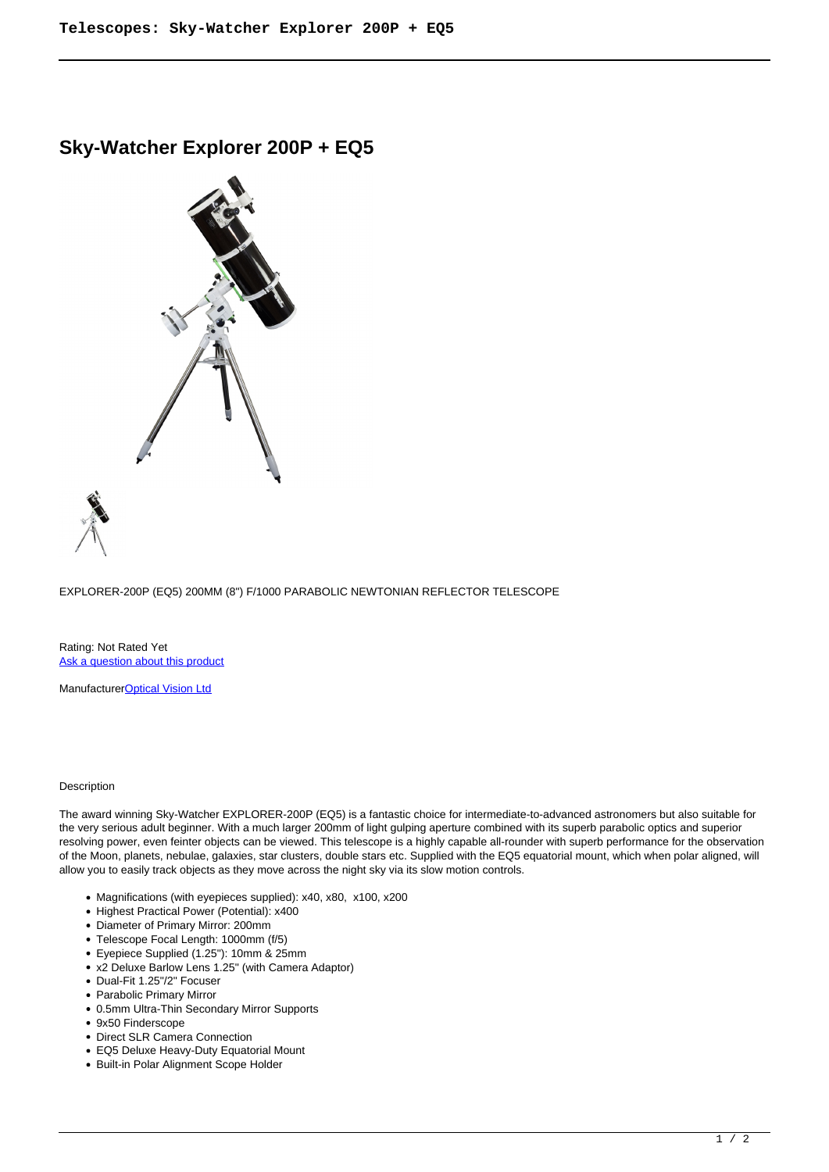## **Sky-Watcher Explorer 200P + EQ5**



EXPLORER-200P (EQ5) 200MM (8") F/1000 PARABOLIC NEWTONIAN REFLECTOR TELESCOPE

Rating: Not Rated Yet [Ask a question about this product](https://cameraplusni.co.uk/index.php?option=com_virtuemart&view=productdetails&task=askquestion&virtuemart_product_id=559&virtuemart_category_id=226&tmpl=component)

Manufacturer[Optical Vision Ltd](https://cameraplusni.co.uk/index.php?option=com_virtuemart&view=manufacturer&virtuemart_manufacturer_id=40&tmpl=component)

## Description

The award winning Sky-Watcher EXPLORER-200P (EQ5) is a fantastic choice for intermediate-to-advanced astronomers but also suitable for the very serious adult beginner. With a much larger 200mm of light gulping aperture combined with its superb parabolic optics and superior resolving power, even feinter objects can be viewed. This telescope is a highly capable all-rounder with superb performance for the observation of the Moon, planets, nebulae, galaxies, star clusters, double stars etc. Supplied with the EQ5 equatorial mount, which when polar aligned, will allow you to easily track objects as they move across the night sky via its slow motion controls.

- Magnifications (with eyepieces supplied): x40, x80, x100, x200
- Highest Practical Power (Potential): x400
- Diameter of Primary Mirror: 200mm
- Telescope Focal Length: 1000mm (f/5)
- Eyepiece Supplied (1.25"): 10mm & 25mm
- x2 Deluxe Barlow Lens 1.25" (with Camera Adaptor)
- Dual-Fit 1.25"/2" Focuser
- Parabolic Primary Mirror
- 0.5mm Ultra-Thin Secondary Mirror Supports
- 9x50 Finderscope
- Direct SLR Camera Connection
- EQ5 Deluxe Heavy-Duty Equatorial Mount
- Built-in Polar Alignment Scope Holder